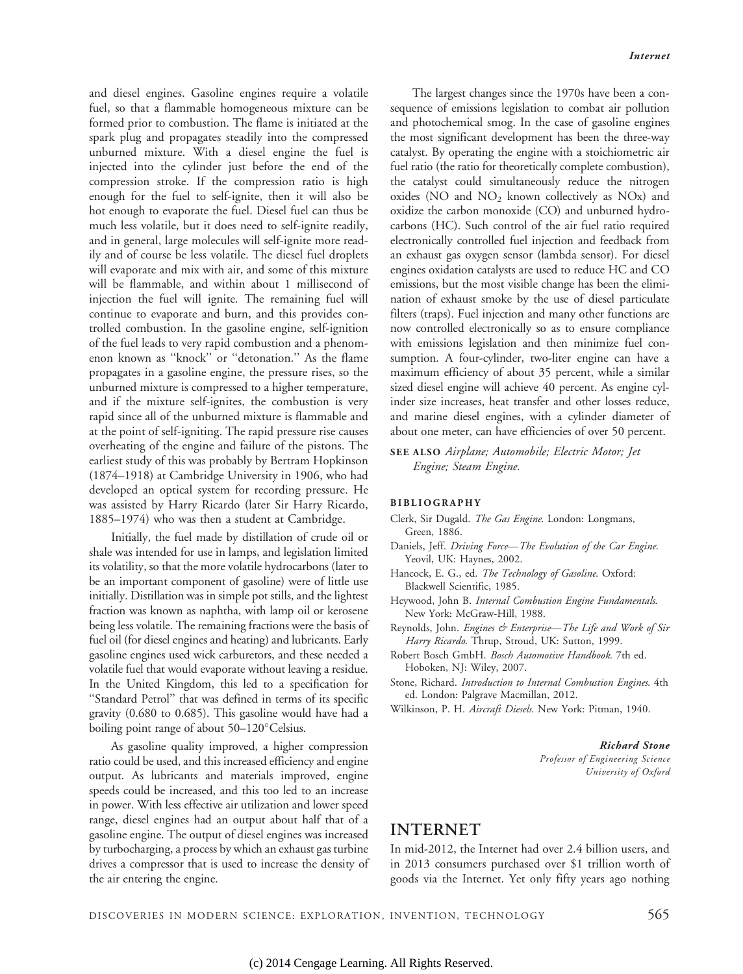and diesel engines. Gasoline engines require a volatile fuel, so that a flammable homogeneous mixture can be formed prior to combustion. The flame is initiated at the spark plug and propagates steadily into the compressed unburned mixture. With a diesel engine the fuel is

injected into the cylinder just before the end of the compression stroke. If the compression ratio is high enough for the fuel to self-ignite, then it will also be hot enough to evaporate the fuel. Diesel fuel can thus be much less volatile, but it does need to self-ignite readily, and in general, large molecules will self-ignite more readily and of course be less volatile. The diesel fuel droplets will evaporate and mix with air, and some of this mixture will be flammable, and within about 1 millisecond of injection the fuel will ignite. The remaining fuel will continue to evaporate and burn, and this provides controlled combustion. In the gasoline engine, self-ignition of the fuel leads to very rapid combustion and a phenomenon known as ''knock'' or ''detonation.'' As the flame propagates in a gasoline engine, the pressure rises, so the unburned mixture is compressed to a higher temperature, and if the mixture self-ignites, the combustion is very rapid since all of the unburned mixture is flammable and at the point of self-igniting. The rapid pressure rise causes overheating of the engine and failure of the pistons. The earliest study of this was probably by Bertram Hopkinson (1874–1918) at Cambridge University in 1906, who had developed an optical system for recording pressure. He was assisted by Harry Ricardo (later Sir Harry Ricardo, 1885–1974) who was then a student at Cambridge.

Initially, the fuel made by distillation of crude oil or shale was intended for use in lamps, and legislation limited its volatility, so that the more volatile hydrocarbons (later to be an important component of gasoline) were of little use initially. Distillation was in simple pot stills, and the lightest fraction was known as naphtha, with lamp oil or kerosene being less volatile. The remaining fractions were the basis of fuel oil (for diesel engines and heating) and lubricants. Early gasoline engines used wick carburetors, and these needed a volatile fuel that would evaporate without leaving a residue. In the United Kingdom, this led to a specification for ''Standard Petrol'' that was defined in terms of its specific gravity (0.680 to 0.685). This gasoline would have had a boiling point range of about 50-120°Celsius.

As gasoline quality improved, a higher compression ratio could be used, and this increased efficiency and engine output. As lubricants and materials improved, engine speeds could be increased, and this too led to an increase in power. With less effective air utilization and lower speed range, diesel engines had an output about half that of a gasoline engine. The output of diesel engines was increased by turbocharging, a process by which an exhaust gas turbine drives a compressor that is used to increase the density of the air entering the engine.

The largest changes since the 1970s have been a consequence of emissions legislation to combat air pollution and photochemical smog. In the case of gasoline engines the most significant development has been the three-way catalyst. By operating the engine with a stoichiometric air fuel ratio (the ratio for theoretically complete combustion), the catalyst could simultaneously reduce the nitrogen oxides (NO and  $NO<sub>2</sub>$  known collectively as  $NO<sub>X</sub>$ ) and oxidize the carbon monoxide (CO) and unburned hydrocarbons (HC). Such control of the air fuel ratio required electronically controlled fuel injection and feedback from an exhaust gas oxygen sensor (lambda sensor). For diesel engines oxidation catalysts are used to reduce HC and CO emissions, but the most visible change has been the elimination of exhaust smoke by the use of diesel particulate filters (traps). Fuel injection and many other functions are now controlled electronically so as to ensure compliance with emissions legislation and then minimize fuel consumption. A four-cylinder, two-liter engine can have a maximum efficiency of about 35 percent, while a similar sized diesel engine will achieve 40 percent. As engine cylinder size increases, heat transfer and other losses reduce, and marine diesel engines, with a cylinder diameter of about one meter, can have efficiencies of over 50 percent.

SEE ALSO Airplane; Automobile; Electric Motor; Jet Engine; Steam Engine.

### BIBLIOGRAPHY

- Clerk, Sir Dugald. The Gas Engine. London: Longmans, Green, 1886.
- Daniels, Jeff. Driving Force—The Evolution of the Car Engine. Yeovil, UK: Haynes, 2002.
- Hancock, E. G., ed. The Technology of Gasoline. Oxford: Blackwell Scientific, 1985.
- Heywood, John B. Internal Combustion Engine Fundamentals. New York: McGraw-Hill, 1988.
- Reynolds, John. Engines & Enterprise-The Life and Work of Sir Harry Ricardo. Thrup, Stroud, UK: Sutton, 1999.
- Robert Bosch GmbH. Bosch Automotive Handbook. 7th ed. Hoboken, NJ: Wiley, 2007.
- Stone, Richard. Introduction to Internal Combustion Engines. 4th ed. London: Palgrave Macmillan, 2012.
- Wilkinson, P. H. Aircraft Diesels. New York: Pitman, 1940.

Richard Stone Professor of Engineering Science University of Oxford

# INTERNET

In mid-2012, the Internet had over 2.4 billion users, and in 2013 consumers purchased over \$1 trillion worth of goods via the Internet. Yet only fifty years ago nothing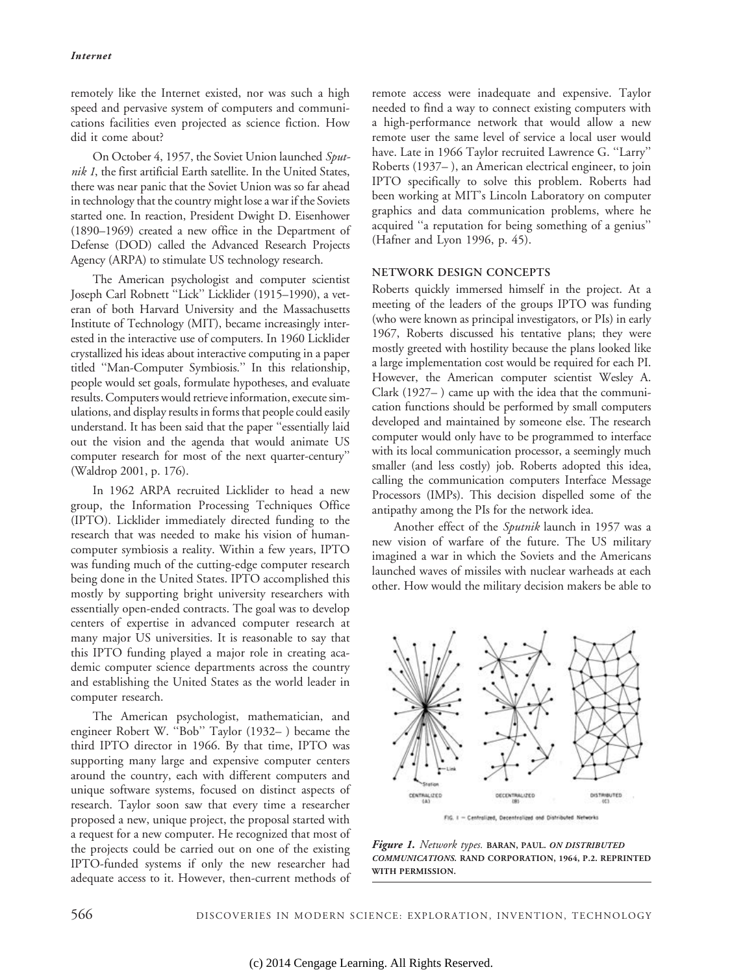### Internet

remotely like the Internet existed, nor was such a high speed and pervasive system of computers and communications facilities even projected as science fiction. How did it come about?

On October 4, 1957, the Soviet Union launched Sputnik 1, the first artificial Earth satellite. In the United States, there was near panic that the Soviet Union was so far ahead in technology that the country might lose a war if the Soviets started one. In reaction, President Dwight D. Eisenhower (1890–1969) created a new office in the Department of Defense (DOD) called the Advanced Research Projects Agency (ARPA) to stimulate US technology research.

The American psychologist and computer scientist Joseph Carl Robnett ''Lick'' Licklider (1915–1990), a veteran of both Harvard University and the Massachusetts Institute of Technology (MIT), became increasingly interested in the interactive use of computers. In 1960 Licklider crystallized his ideas about interactive computing in a paper titled ''Man-Computer Symbiosis.'' In this relationship, people would set goals, formulate hypotheses, and evaluate results. Computers would retrieve information, execute simulations, and display results in forms that people could easily understand. It has been said that the paper ''essentially laid out the vision and the agenda that would animate US computer research for most of the next quarter-century'' (Waldrop 2001, p. 176).

In 1962 ARPA recruited Licklider to head a new group, the Information Processing Techniques Office (IPTO). Licklider immediately directed funding to the research that was needed to make his vision of humancomputer symbiosis a reality. Within a few years, IPTO was funding much of the cutting-edge computer research being done in the United States. IPTO accomplished this mostly by supporting bright university researchers with essentially open-ended contracts. The goal was to develop centers of expertise in advanced computer research at many major US universities. It is reasonable to say that this IPTO funding played a major role in creating academic computer science departments across the country and establishing the United States as the world leader in computer research.

The American psychologist, mathematician, and engineer Robert W. ''Bob'' Taylor (1932– ) became the third IPTO director in 1966. By that time, IPTO was supporting many large and expensive computer centers around the country, each with different computers and unique software systems, focused on distinct aspects of research. Taylor soon saw that every time a researcher proposed a new, unique project, the proposal started with a request for a new computer. He recognized that most of the projects could be carried out on one of the existing IPTO-funded systems if only the new researcher had adequate access to it. However, then-current methods of

remote access were inadequate and expensive. Taylor needed to find a way to connect existing computers with a high-performance network that would allow a new remote user the same level of service a local user would have. Late in 1966 Taylor recruited Lawrence G. "Larry" Roberts (1937– ), an American electrical engineer, to join IPTO specifically to solve this problem. Roberts had been working at MIT's Lincoln Laboratory on computer graphics and data communication problems, where he acquired ''a reputation for being something of a genius'' (Hafner and Lyon 1996, p. 45).

# NETWORK DESIGN CONCEPTS

Roberts quickly immersed himself in the project. At a meeting of the leaders of the groups IPTO was funding (who were known as principal investigators, or PIs) in early 1967, Roberts discussed his tentative plans; they were mostly greeted with hostility because the plans looked like a large implementation cost would be required for each PI. However, the American computer scientist Wesley A. Clark (1927– ) came up with the idea that the communication functions should be performed by small computers developed and maintained by someone else. The research computer would only have to be programmed to interface with its local communication processor, a seemingly much smaller (and less costly) job. Roberts adopted this idea, calling the communication computers Interface Message Processors (IMPs). This decision dispelled some of the antipathy among the PIs for the network idea.

Another effect of the Sputnik launch in 1957 was a new vision of warfare of the future. The US military imagined a war in which the Soviets and the Americans launched waves of missiles with nuclear warheads at each other. How would the military decision makers be able to



FIG. I - Centralized, Decentralized and Distributed Networks

Figure 1. Network types. BARAN, PAUL. ON DISTRIBUTED COMMUNICATIONS. RAND CORPORATION, 1964, P.2. REPRINTED WITH PERMISSION.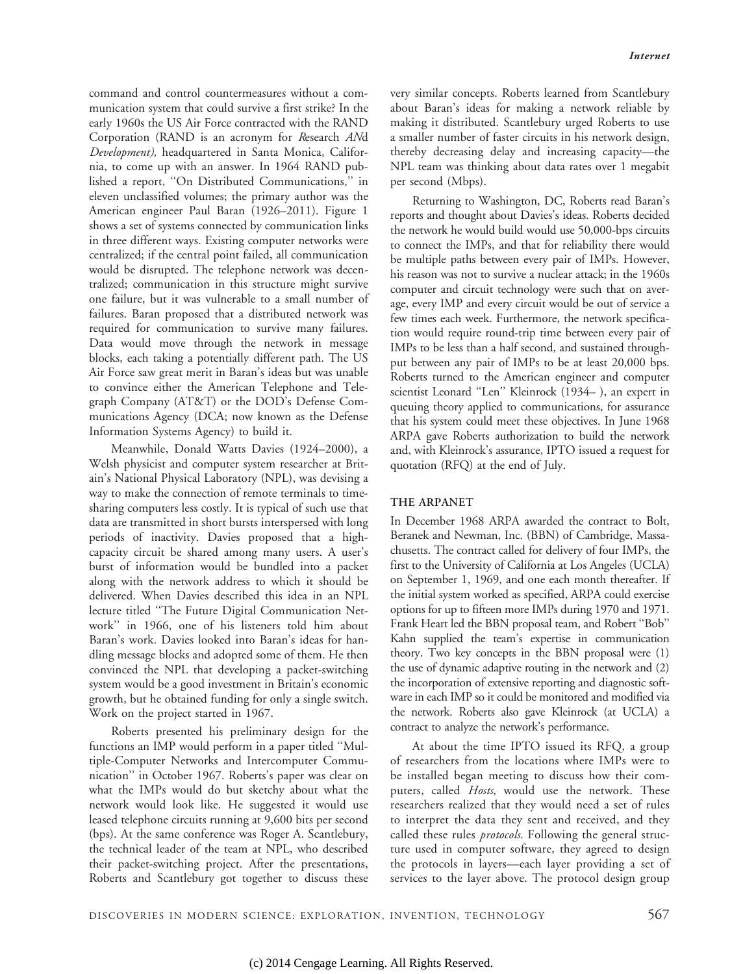command and control countermeasures without a communication system that could survive a first strike? In the early 1960s the US Air Force contracted with the RAND Corporation (RAND is an acronym for Research ANd Development), headquartered in Santa Monica, California, to come up with an answer. In 1964 RAND published a report, ''On Distributed Communications,'' in eleven unclassified volumes; the primary author was the American engineer Paul Baran (1926–2011). Figure 1 shows a set of systems connected by communication links in three different ways. Existing computer networks were centralized; if the central point failed, all communication would be disrupted. The telephone network was decentralized; communication in this structure might survive one failure, but it was vulnerable to a small number of failures. Baran proposed that a distributed network was required for communication to survive many failures. Data would move through the network in message blocks, each taking a potentially different path. The US Air Force saw great merit in Baran's ideas but was unable to convince either the American Telephone and Telegraph Company (AT&T) or the DOD's Defense Communications Agency (DCA; now known as the Defense Information Systems Agency) to build it.

Meanwhile, Donald Watts Davies (1924–2000), a Welsh physicist and computer system researcher at Britain's National Physical Laboratory (NPL), was devising a way to make the connection of remote terminals to timesharing computers less costly. It is typical of such use that data are transmitted in short bursts interspersed with long periods of inactivity. Davies proposed that a highcapacity circuit be shared among many users. A user's burst of information would be bundled into a packet along with the network address to which it should be delivered. When Davies described this idea in an NPL lecture titled ''The Future Digital Communication Network'' in 1966, one of his listeners told him about Baran's work. Davies looked into Baran's ideas for handling message blocks and adopted some of them. He then convinced the NPL that developing a packet-switching system would be a good investment in Britain's economic growth, but he obtained funding for only a single switch. Work on the project started in 1967.

Roberts presented his preliminary design for the functions an IMP would perform in a paper titled ''Multiple-Computer Networks and Intercomputer Communication'' in October 1967. Roberts's paper was clear on what the IMPs would do but sketchy about what the network would look like. He suggested it would use leased telephone circuits running at 9,600 bits per second (bps). At the same conference was Roger A. Scantlebury, the technical leader of the team at NPL, who described their packet-switching project. After the presentations, Roberts and Scantlebury got together to discuss these very similar concepts. Roberts learned from Scantlebury about Baran's ideas for making a network reliable by making it distributed. Scantlebury urged Roberts to use a smaller number of faster circuits in his network design, thereby decreasing delay and increasing capacity—the NPL team was thinking about data rates over 1 megabit per second (Mbps).

Returning to Washington, DC, Roberts read Baran's reports and thought about Davies's ideas. Roberts decided the network he would build would use 50,000-bps circuits to connect the IMPs, and that for reliability there would be multiple paths between every pair of IMPs. However, his reason was not to survive a nuclear attack; in the 1960s computer and circuit technology were such that on average, every IMP and every circuit would be out of service a few times each week. Furthermore, the network specification would require round-trip time between every pair of IMPs to be less than a half second, and sustained throughput between any pair of IMPs to be at least 20,000 bps. Roberts turned to the American engineer and computer scientist Leonard ''Len'' Kleinrock (1934– ), an expert in queuing theory applied to communications, for assurance that his system could meet these objectives. In June 1968 ARPA gave Roberts authorization to build the network and, with Kleinrock's assurance, IPTO issued a request for quotation (RFQ) at the end of July.

# THE ARPANET

In December 1968 ARPA awarded the contract to Bolt, Beranek and Newman, Inc. (BBN) of Cambridge, Massachusetts. The contract called for delivery of four IMPs, the first to the University of California at Los Angeles (UCLA) on September 1, 1969, and one each month thereafter. If the initial system worked as specified, ARPA could exercise options for up to fifteen more IMPs during 1970 and 1971. Frank Heart led the BBN proposal team, and Robert ''Bob'' Kahn supplied the team's expertise in communication theory. Two key concepts in the BBN proposal were (1) the use of dynamic adaptive routing in the network and (2) the incorporation of extensive reporting and diagnostic software in each IMP so it could be monitored and modified via the network. Roberts also gave Kleinrock (at UCLA) a contract to analyze the network's performance.

At about the time IPTO issued its RFQ, a group of researchers from the locations where IMPs were to be installed began meeting to discuss how their computers, called *Hosts*, would use the network. These researchers realized that they would need a set of rules to interpret the data they sent and received, and they called these rules *protocols*. Following the general structure used in computer software, they agreed to design the protocols in layers—each layer providing a set of services to the layer above. The protocol design group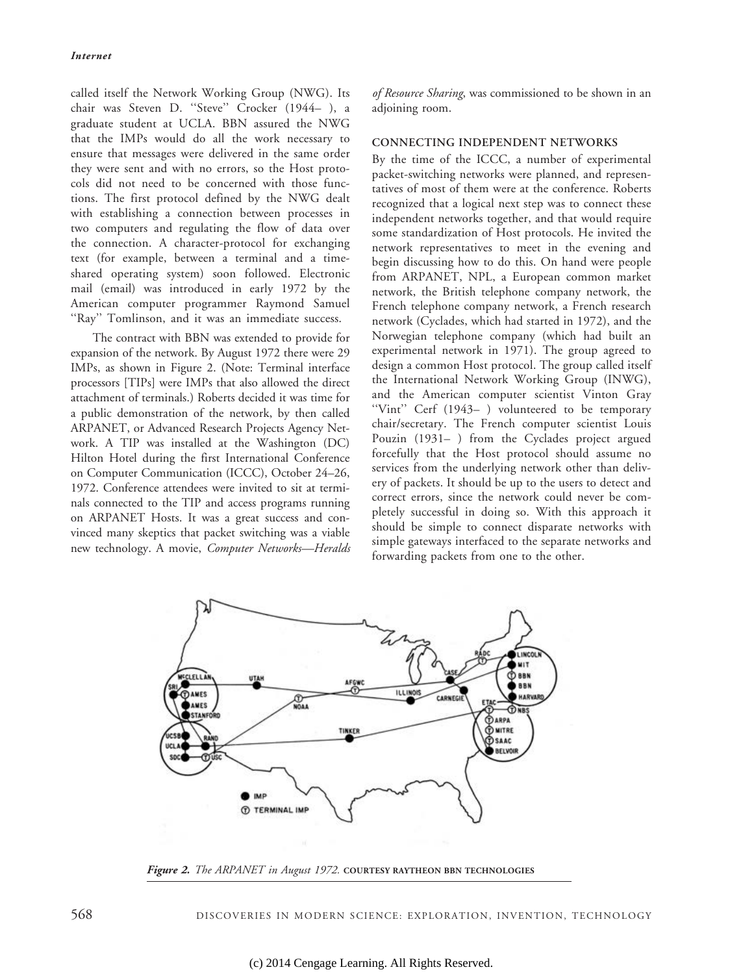called itself the Network Working Group (NWG). Its chair was Steven D. ''Steve'' Crocker (1944– ), a graduate student at UCLA. BBN assured the NWG that the IMPs would do all the work necessary to ensure that messages were delivered in the same order they were sent and with no errors, so the Host protocols did not need to be concerned with those functions. The first protocol defined by the NWG dealt with establishing a connection between processes in two computers and regulating the flow of data over the connection. A character-protocol for exchanging text (for example, between a terminal and a timeshared operating system) soon followed. Electronic mail (email) was introduced in early 1972 by the American computer programmer Raymond Samuel "Ray" Tomlinson, and it was an immediate success.

The contract with BBN was extended to provide for expansion of the network. By August 1972 there were 29 IMPs, as shown in Figure 2. (Note: Terminal interface processors [TIPs] were IMPs that also allowed the direct attachment of terminals.) Roberts decided it was time for a public demonstration of the network, by then called ARPANET, or Advanced Research Projects Agency Network. A TIP was installed at the Washington (DC) Hilton Hotel during the first International Conference on Computer Communication (ICCC), October 24–26, 1972. Conference attendees were invited to sit at terminals connected to the TIP and access programs running on ARPANET Hosts. It was a great success and convinced many skeptics that packet switching was a viable new technology. A movie, Computer Networks-Heralds of Resource Sharing, was commissioned to be shown in an adjoining room.

# CONNECTING INDEPENDENT NETWORKS

By the time of the ICCC, a number of experimental packet-switching networks were planned, and representatives of most of them were at the conference. Roberts recognized that a logical next step was to connect these independent networks together, and that would require some standardization of Host protocols. He invited the network representatives to meet in the evening and begin discussing how to do this. On hand were people from ARPANET, NPL, a European common market network, the British telephone company network, the French telephone company network, a French research network (Cyclades, which had started in 1972), and the Norwegian telephone company (which had built an experimental network in 1971). The group agreed to design a common Host protocol. The group called itself the International Network Working Group (INWG), and the American computer scientist Vinton Gray "Vint" Cerf (1943- ) volunteered to be temporary chair/secretary. The French computer scientist Louis Pouzin (1931– ) from the Cyclades project argued forcefully that the Host protocol should assume no services from the underlying network other than delivery of packets. It should be up to the users to detect and correct errors, since the network could never be completely successful in doing so. With this approach it should be simple to connect disparate networks with simple gateways interfaced to the separate networks and forwarding packets from one to the other.



Figure 2. The ARPANET in August 1972. COURTESY RAYTHEON BBN TECHNOLOGIES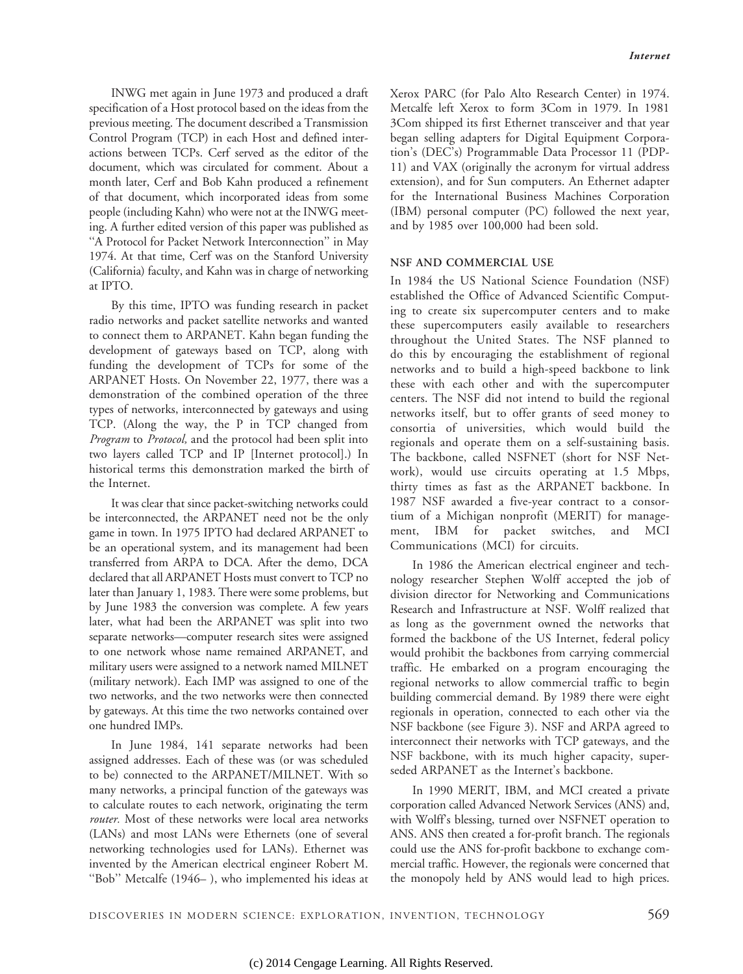INWG met again in June 1973 and produced a draft specification of a Host protocol based on the ideas from the previous meeting. The document described a Transmission Control Program (TCP) in each Host and defined interactions between TCPs. Cerf served as the editor of the document, which was circulated for comment. About a month later, Cerf and Bob Kahn produced a refinement of that document, which incorporated ideas from some people (including Kahn) who were not at the INWG meeting. A further edited version of this paper was published as "A Protocol for Packet Network Interconnection" in May 1974. At that time, Cerf was on the Stanford University (California) faculty, and Kahn was in charge of networking at IPTO.

By this time, IPTO was funding research in packet radio networks and packet satellite networks and wanted to connect them to ARPANET. Kahn began funding the development of gateways based on TCP, along with funding the development of TCPs for some of the ARPANET Hosts. On November 22, 1977, there was a demonstration of the combined operation of the three types of networks, interconnected by gateways and using TCP. (Along the way, the P in TCP changed from Program to Protocol, and the protocol had been split into two layers called TCP and IP [Internet protocol].) In historical terms this demonstration marked the birth of the Internet.

It was clear that since packet-switching networks could be interconnected, the ARPANET need not be the only game in town. In 1975 IPTO had declared ARPANET to be an operational system, and its management had been transferred from ARPA to DCA. After the demo, DCA declared that all ARPANET Hosts must convert to TCP no later than January 1, 1983. There were some problems, but by June 1983 the conversion was complete. A few years later, what had been the ARPANET was split into two separate networks—computer research sites were assigned to one network whose name remained ARPANET, and military users were assigned to a network named MILNET (military network). Each IMP was assigned to one of the two networks, and the two networks were then connected by gateways. At this time the two networks contained over one hundred IMPs.

In June 1984, 141 separate networks had been assigned addresses. Each of these was (or was scheduled to be) connected to the ARPANET/MILNET. With so many networks, a principal function of the gateways was to calculate routes to each network, originating the term *router*. Most of these networks were local area networks (LANs) and most LANs were Ethernets (one of several networking technologies used for LANs). Ethernet was invented by the American electrical engineer Robert M. ''Bob'' Metcalfe (1946– ), who implemented his ideas at Xerox PARC (for Palo Alto Research Center) in 1974. Metcalfe left Xerox to form 3Com in 1979. In 1981 3Com shipped its first Ethernet transceiver and that year began selling adapters for Digital Equipment Corporation's (DEC's) Programmable Data Processor 11 (PDP-11) and VAX (originally the acronym for virtual address extension), and for Sun computers. An Ethernet adapter for the International Business Machines Corporation (IBM) personal computer (PC) followed the next year, and by 1985 over 100,000 had been sold.

#### NSF AND COMMERCIAL USE

In 1984 the US National Science Foundation (NSF) established the Office of Advanced Scientific Computing to create six supercomputer centers and to make these supercomputers easily available to researchers throughout the United States. The NSF planned to do this by encouraging the establishment of regional networks and to build a high-speed backbone to link these with each other and with the supercomputer centers. The NSF did not intend to build the regional networks itself, but to offer grants of seed money to consortia of universities, which would build the regionals and operate them on a self-sustaining basis. The backbone, called NSFNET (short for NSF Network), would use circuits operating at 1.5 Mbps, thirty times as fast as the ARPANET backbone. In 1987 NSF awarded a five-year contract to a consortium of a Michigan nonprofit (MERIT) for management, IBM for packet switches, and MCI Communications (MCI) for circuits.

In 1986 the American electrical engineer and technology researcher Stephen Wolff accepted the job of division director for Networking and Communications Research and Infrastructure at NSF. Wolff realized that as long as the government owned the networks that formed the backbone of the US Internet, federal policy would prohibit the backbones from carrying commercial traffic. He embarked on a program encouraging the regional networks to allow commercial traffic to begin building commercial demand. By 1989 there were eight regionals in operation, connected to each other via the NSF backbone (see Figure 3). NSF and ARPA agreed to interconnect their networks with TCP gateways, and the NSF backbone, with its much higher capacity, superseded ARPANET as the Internet's backbone.

In 1990 MERIT, IBM, and MCI created a private corporation called Advanced Network Services (ANS) and, with Wolff's blessing, turned over NSFNET operation to ANS. ANS then created a for-profit branch. The regionals could use the ANS for-profit backbone to exchange commercial traffic. However, the regionals were concerned that the monopoly held by ANS would lead to high prices.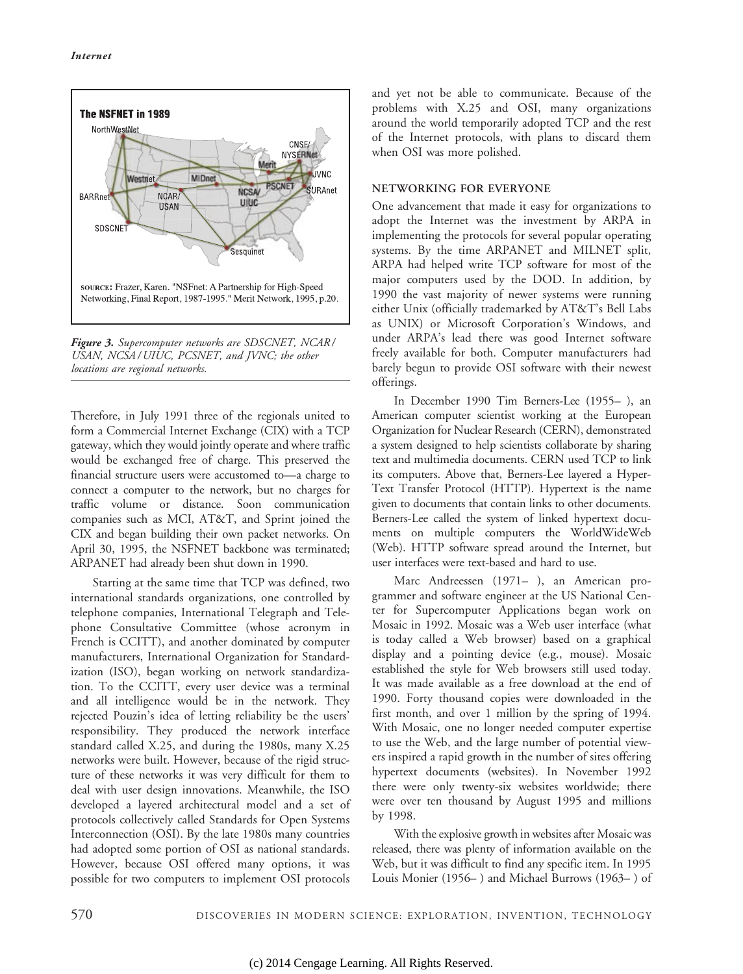

Figure 3. Supercomputer networks are SDSCNET, NCAR/ USAN, NCSA / UIUC, PCSNET, and JVNC; the other locations are regional networks.

Therefore, in July 1991 three of the regionals united to form a Commercial Internet Exchange (CIX) with a TCP gateway, which they would jointly operate and where traffic would be exchanged free of charge. This preserved the financial structure users were accustomed to—a charge to connect a computer to the network, but no charges for traffic volume or distance. Soon communication companies such as MCI, AT&T, and Sprint joined the CIX and began building their own packet networks. On April 30, 1995, the NSFNET backbone was terminated; ARPANET had already been shut down in 1990.

Starting at the same time that TCP was defined, two international standards organizations, one controlled by telephone companies, International Telegraph and Telephone Consultative Committee (whose acronym in French is CCITT), and another dominated by computer manufacturers, International Organization for Standardization (ISO), began working on network standardization. To the CCITT, every user device was a terminal and all intelligence would be in the network. They rejected Pouzin's idea of letting reliability be the users' responsibility. They produced the network interface standard called X.25, and during the 1980s, many X.25 networks were built. However, because of the rigid structure of these networks it was very difficult for them to deal with user design innovations. Meanwhile, the ISO developed a layered architectural model and a set of protocols collectively called Standards for Open Systems Interconnection (OSI). By the late 1980s many countries had adopted some portion of OSI as national standards. However, because OSI offered many options, it was possible for two computers to implement OSI protocols

and yet not be able to communicate. Because of the problems with X.25 and OSI, many organizations around the world temporarily adopted TCP and the rest of the Internet protocols, with plans to discard them when OSI was more polished.

## NETWORKING FOR EVERYONE

One advancement that made it easy for organizations to adopt the Internet was the investment by ARPA in implementing the protocols for several popular operating systems. By the time ARPANET and MILNET split, ARPA had helped write TCP software for most of the major computers used by the DOD. In addition, by 1990 the vast majority of newer systems were running either Unix (officially trademarked by AT&T's Bell Labs as UNIX) or Microsoft Corporation's Windows, and under ARPA's lead there was good Internet software freely available for both. Computer manufacturers had barely begun to provide OSI software with their newest offerings.

In December 1990 Tim Berners-Lee (1955– ), an American computer scientist working at the European Organization for Nuclear Research (CERN), demonstrated a system designed to help scientists collaborate by sharing text and multimedia documents. CERN used TCP to link its computers. Above that, Berners-Lee layered a Hyper-Text Transfer Protocol (HTTP). Hypertext is the name given to documents that contain links to other documents. Berners-Lee called the system of linked hypertext documents on multiple computers the WorldWideWeb (Web). HTTP software spread around the Internet, but user interfaces were text-based and hard to use.

Marc Andreessen (1971– ), an American programmer and software engineer at the US National Center for Supercomputer Applications began work on Mosaic in 1992. Mosaic was a Web user interface (what is today called a Web browser) based on a graphical display and a pointing device (e.g., mouse). Mosaic established the style for Web browsers still used today. It was made available as a free download at the end of 1990. Forty thousand copies were downloaded in the first month, and over 1 million by the spring of 1994. With Mosaic, one no longer needed computer expertise to use the Web, and the large number of potential viewers inspired a rapid growth in the number of sites offering hypertext documents (websites). In November 1992 there were only twenty-six websites worldwide; there were over ten thousand by August 1995 and millions by 1998.

With the explosive growth in websites after Mosaic was released, there was plenty of information available on the Web, but it was difficult to find any specific item. In 1995 Louis Monier (1956– ) and Michael Burrows (1963– ) of